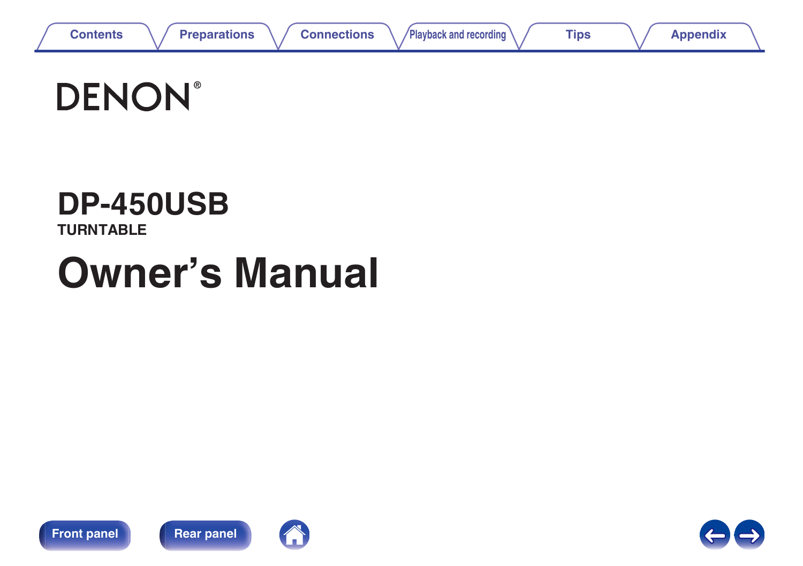



# **DP-450USB**

**TURNTABLE**

# **Owner's Manual**







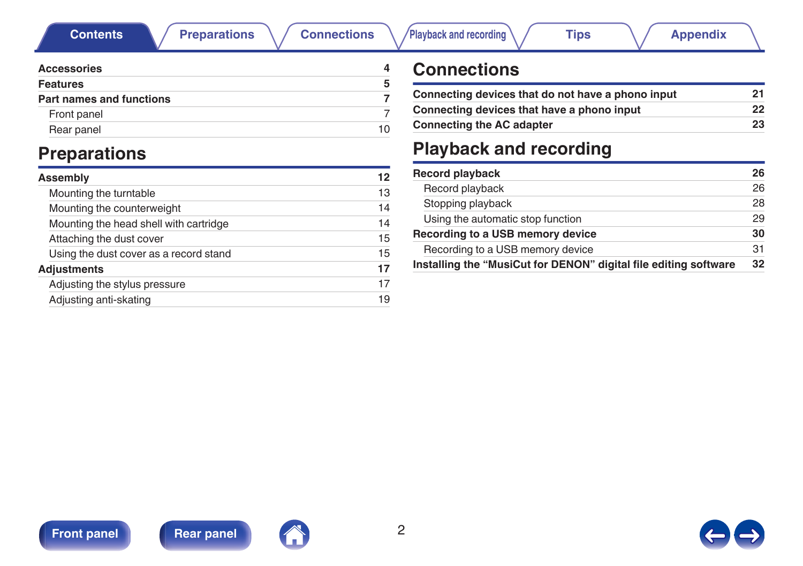

<span id="page-1-0"></span>

| <b>Accessories</b>              |    |
|---------------------------------|----|
| <b>Features</b>                 | 5  |
| <b>Part names and functions</b> |    |
| Front panel                     |    |
| Rear panel                      | 10 |

## **Preparations**

| Assembly                               | 12 |
|----------------------------------------|----|
| Mounting the turntable                 | 13 |
| Mounting the counterweight             | 14 |
| Mounting the head shell with cartridge | 14 |
| Attaching the dust cover               | 15 |
| Using the dust cover as a record stand | 15 |
| <b>Adjustments</b>                     | 17 |
| Adjusting the stylus pressure          | 17 |
| Adjusting anti-skating                 | 19 |
|                                        |    |

## **Connections**

| Connecting devices that do not have a phono input |    |
|---------------------------------------------------|----|
| Connecting devices that have a phono input        | 22 |
| <b>Connecting the AC adapter</b>                  | 23 |

## **Playback and recording**

| <b>Record playback</b>                                           | 26 |
|------------------------------------------------------------------|----|
| Record playback                                                  | 26 |
| Stopping playback                                                | 28 |
| Using the automatic stop function                                | 29 |
| Recording to a USB memory device                                 | 30 |
| Recording to a USB memory device                                 | 31 |
| Installing the "MusiCut for DENON" digital file editing software | 32 |



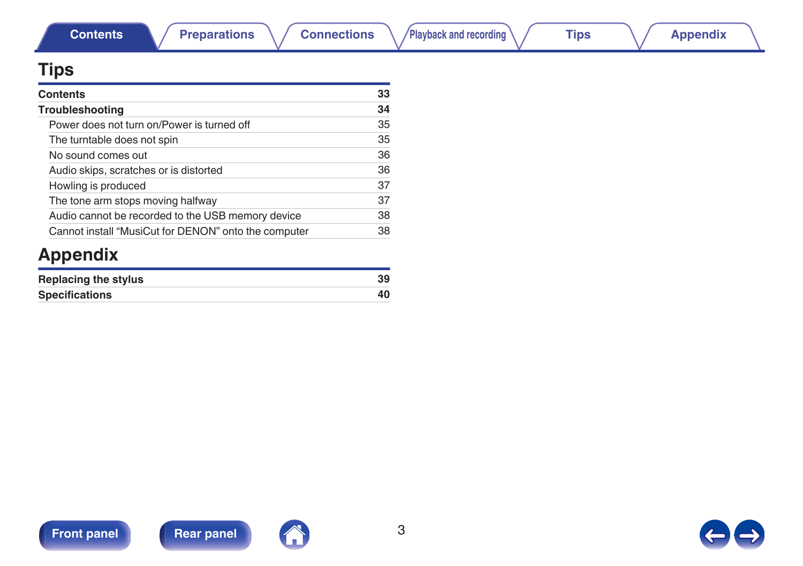



| Contents                                             | 33 |
|------------------------------------------------------|----|
| Troubleshooting                                      | 34 |
| Power does not turn on/Power is turned off           | 35 |
| The turntable does not spin                          | 35 |
| No sound comes out                                   | 36 |
| Audio skips, scratches or is distorted               | 36 |
| Howling is produced                                  | 37 |
| The tone arm stops moving halfway                    | 37 |
| Audio cannot be recorded to the USB memory device    | 38 |
| Cannot install "MusiCut for DENON" onto the computer | 38 |

## **Appendix**

| Replacing the stylus  | 39 |
|-----------------------|----|
| <b>Specifications</b> |    |



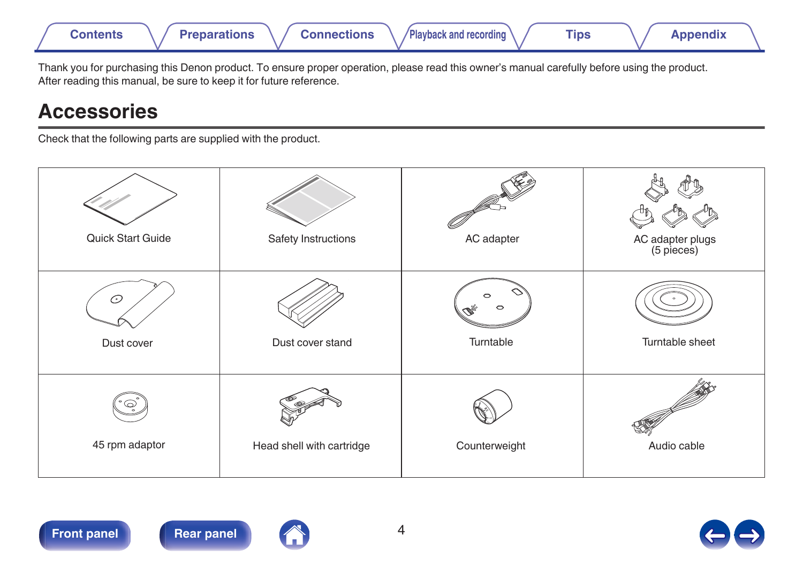<span id="page-3-0"></span>

Thank you for purchasing this Denon product. To ensure proper operation, please read this owner's manual carefully before using the product. After reading this manual, be sure to keep it for future reference.

## **Accessories**

Check that the following parts are supplied with the product.

| Quick Start Guide   | Safety Instructions       | AC adapter     | AC adapter plugs<br>(5 pieces) |
|---------------------|---------------------------|----------------|--------------------------------|
| ⊙<br>Dust cover     | Dust cover stand          | っ<br>Turntable | Turntable sheet                |
| ✅<br>45 rpm adaptor | Head shell with cartridge | Counterweight  | Audio cable                    |



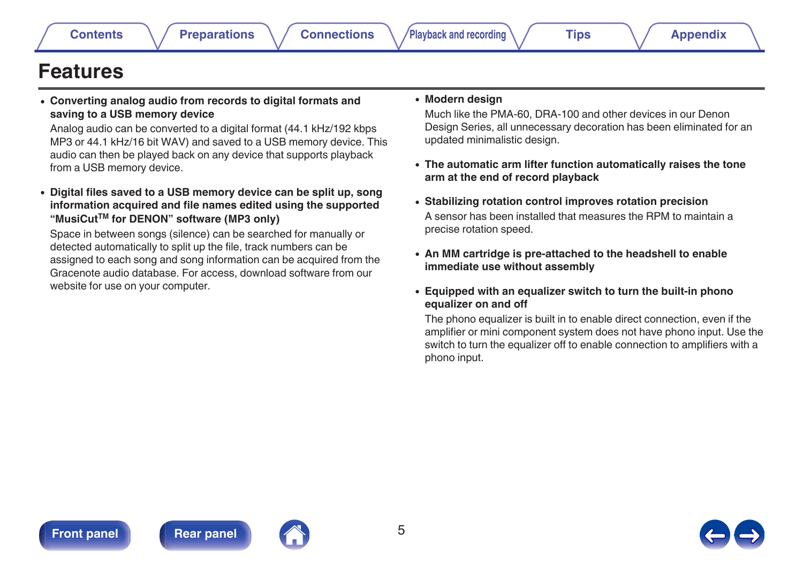<span id="page-4-0"></span>**Features**

**saving to a USB memory device**

from a USB memory device.





#### detected automatically to split up the file, track numbers can be assigned to each song and song information can be acquired from the Gracenote audio database. For access, download software from our website for use on your computer.

#### 0 **Modern design**

Much like the PMA-60, DRA-100 and other devices in our Denon Design Series, all unnecessary decoration has been eliminated for an updated minimalistic design.

- 0 **The automatic arm lifter function automatically raises the tone arm at the end of record playback**
- 0 **Stabilizing rotation control improves rotation precision** A sensor has been installed that measures the RPM to maintain a precise rotation speed.
- 0 **An MM cartridge is pre-attached to the headshell to enable immediate use without assembly**

#### 0 **Equipped with an equalizer switch to turn the built-in phono equalizer on and off**

The phono equalizer is built in to enable direct connection, even if the amplifier or mini component system does not have phono input. Use the switch to turn the equalizer off to enable connection to amplifiers with a phono input.

0 **Converting analog audio from records to digital formats and**

Analog audio can be converted to a digital format (44.1 kHz/192 kbps MP3 or 44.1 kHz/16 bit WAV) and saved to a USB memory device. This audio can then be played back on any device that supports playback

0 **Digital files saved to a USB memory device can be split up, song information acquired and file names edited using the supported**

Space in between songs (silence) can be searched for manually or

**"MusiCutTM for DENON" software (MP3 only)**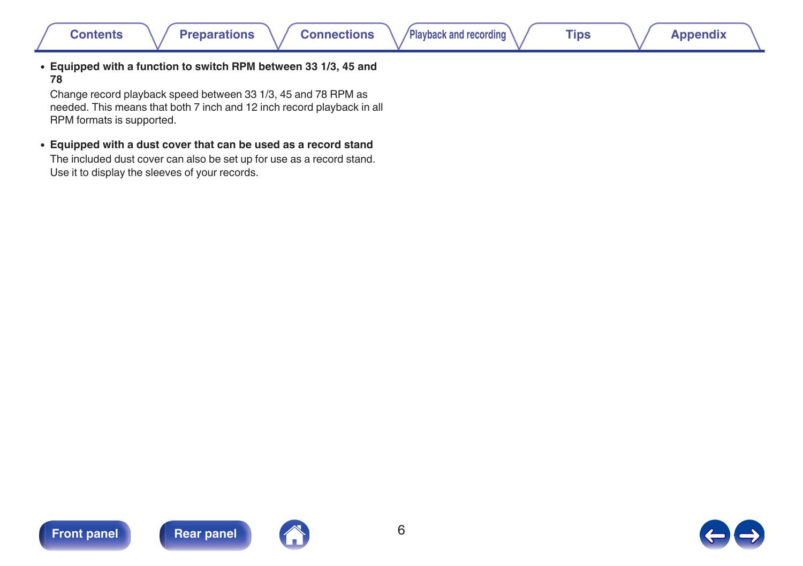0 **Equipped with a function to switch RPM between 33 1/3, 45 and 78**

Change record playback speed between 33 1/3, 45 and 78 RPM as needed. This means that both 7 inch and 12 inch record playback in all RPM formats is supported.

0 **Equipped with a dust cover that can be used as a record stand**

The included dust cover can also be set up for use as a record stand. Use it to display the sleeves of your records.





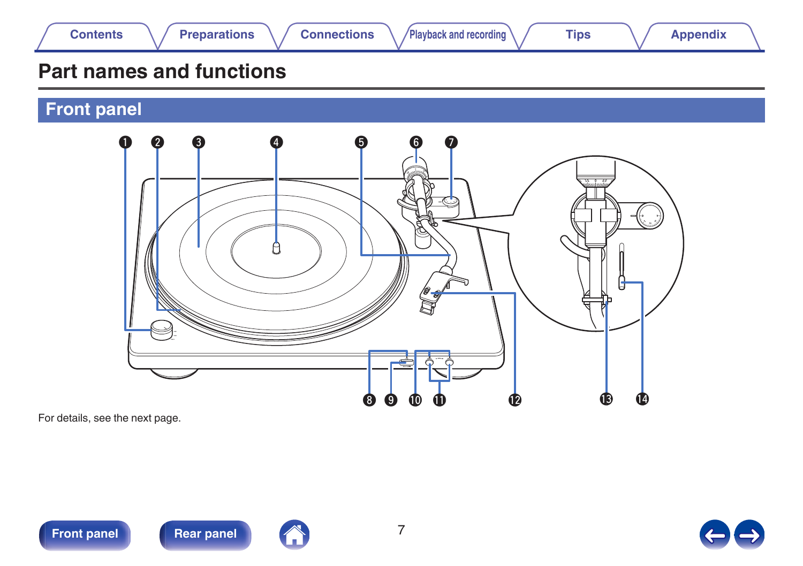<span id="page-6-0"></span>

## **Part names and functions**

**Front panel**



For details, see the next page.



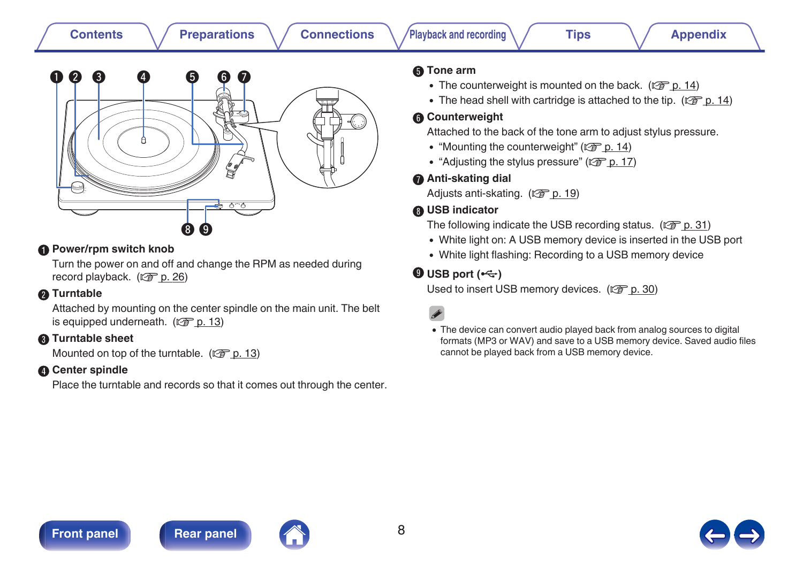### E **Tone arm**

- The counterweight is mounted on the back. ( $\sqrt{2}$  [p. 14\)](#page-13-0)
- The head shell with cartridge is attached to the tip.  $(\mathbb{Q}^2)$  [p. 14\)](#page-13-0)

#### **R** Counterweight

Attached to the back of the tone arm to adjust stylus pressure.

- ["Mounting the counterweight" \(](#page-13-0) $\sqrt{\epsilon}$  p. 14)
- ["Adjusting the stylus pressure" \(](#page-16-0) $\mathbb{Q}$  p. 17)

#### G **Anti-skating dial**

Adjusts anti-skating.  $(\sqrt{\epsilon} \cdot p. 19)$  $(\sqrt{\epsilon} \cdot p. 19)$ 

### **M** USB indicator

The following indicate the USB recording status. ( $\mathbb{Q}^2$  [p. 31\)](#page-30-0)

- 0 White light on: A USB memory device is inserted in the USB port
- 0 White light flashing: Recording to a USB memory device

### $\bigcirc$  USB port  $(\cdot \leftarrow)$

Used to insert USB memory devices.  $(\sqrt[p]{2})$  [p. 30\)](#page-29-0)

• The device can convert audio played back from analog sources to digital formats (MP3 or WAV) and save to a USB memory device. Saved audio files cannot be played back from a USB memory device.

### **[Front panel](#page-6-0) [Rear panel](#page-9-0) 8 8**







#### **[Contents](#page-1-0) [Preparations](#page-10-0) [Connections](#page-19-0) [Playback and recording](#page-24-0) [Tips](#page-32-0) [Appendix](#page-38-0)**



#### Power/rpm switch knob

Turn the power on and off and change the RPM as needed during record playback. ( $\sqrt{p}$  [p. 26\)](#page-25-0)

### B **Turntable**

Attached by mounting on the center spindle on the main unit. The belt is equipped underneath.  $(\sqrt{p^2} p. 13)$  $(\sqrt{p^2} p. 13)$ 

### **Turntable sheet**

Mounted on top of the turntable. ( $\mathbb{Q}$  [p. 13\)](#page-12-0)

### **Center spindle**

Place the turntable and records so that it comes out through the center.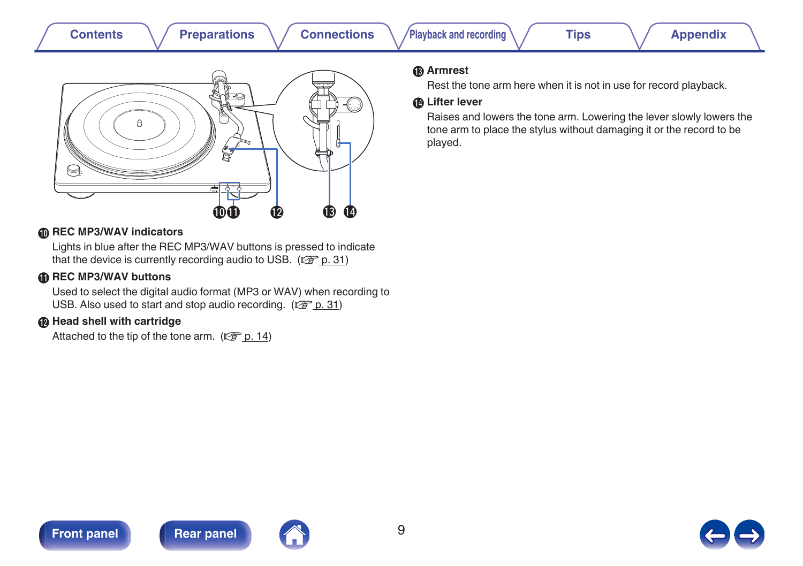| <b>Preparations</b><br><b>Contents</b> | <b>Connections</b> | Playback and recording                                                                                                                                                                                                                                                     | <b>Tips</b> | <b>Appendix</b> |
|----------------------------------------|--------------------|----------------------------------------------------------------------------------------------------------------------------------------------------------------------------------------------------------------------------------------------------------------------------|-------------|-----------------|
| a<br>WWW.                              |                    | <b>®</b> Armrest<br>Rest the tone arm here when it is not in use for record playback.<br><b>ID Lifter lever</b><br>Raises and lowers the tone arm. Lowering the lever slowly lowers the<br>tone arm to place the stylus without damaging it or the record to be<br>played. |             |                 |

#### **<sup>6</sup>** REC MP3/WAV indicators

Lights in blue after the REC MP3/WAV buttons is pressed to indicate that the device is currently recording audio to USB. ( $\mathbb{Z}$  [p. 31\)](#page-30-0)

ہ م ا≐

 $\begin{array}{ccccc} \bullet\bullet\hspace{-.2cm}&\bullet\hspace{-.2cm}&\bullet\hspace{-.2cm}&\bullet\hspace{-.2cm}&\bullet\hspace{-.2cm}&\bullet\end{array}$ 

#### **6** REC MP3/WAV buttons

Used to select the digital audio format (MP3 or WAV) when recording to USB. Also used to start and stop audio recording. ( $\mathscr{D}$  [p. 31\)](#page-30-0)

#### **A** Head shell with cartridge

Attached to the tip of the tone arm.  $(\sqrt{p} - p. 14)$  $(\sqrt{p} - p. 14)$ 





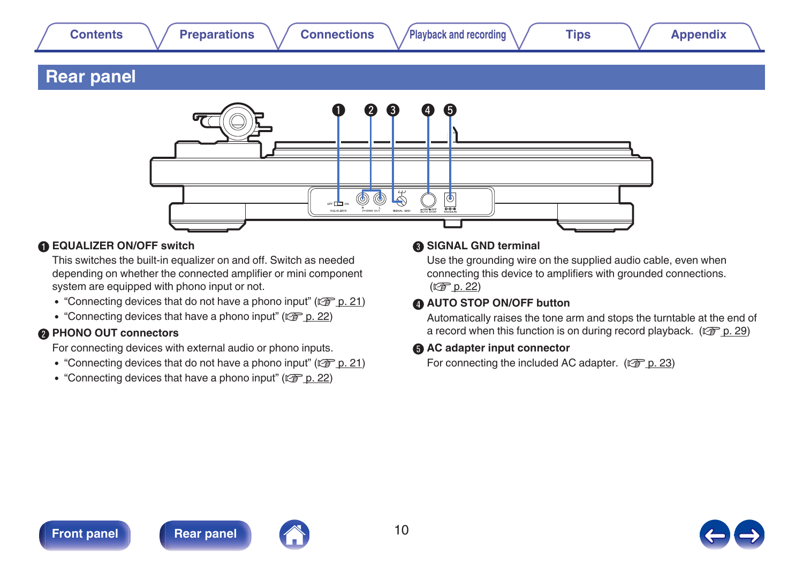### <span id="page-9-0"></span>**Rear panel**



#### A **EQUALIZER ON/OFF switch**

This switches the built-in equalizer on and off. Switch as needed depending on whether the connected amplifier or mini component system are equipped with phono input or not.

- ["Connecting devices that do not have a phono input" \(](#page-20-0) $\mathbb{Q}$  p. 21)
- ["Connecting devices that have a phono input" \(](#page-21-0) $\mathbb{Q}$  p. 22)

#### **PHONO OUT connectors**

For connecting devices with external audio or phono inputs.

- ["Connecting devices that do not have a phono input" \(](#page-20-0) $\mathbb{Q}$  p. 21)
- ["Connecting devices that have a phono input" \(](#page-21-0) $\sqrt{p}$  p. 22)

#### **a** SIGNAL GND terminal

Use the grounding wire on the supplied audio cable, even when connecting this device to amplifiers with grounded connections.  $(\sqrt{p})$  [p. 22\)](#page-21-0)

### **D** AUTO STOP ON/OFF button

Automatically raises the tone arm and stops the turntable at the end of a record when this function is on during record playback. ( $\mathbb{CP}$  [p. 29\)](#page-28-0)

#### AC adapter input connector

For connecting the included AC adapter.  $(\mathbb{Q}P)$  [p. 23\)](#page-22-0)



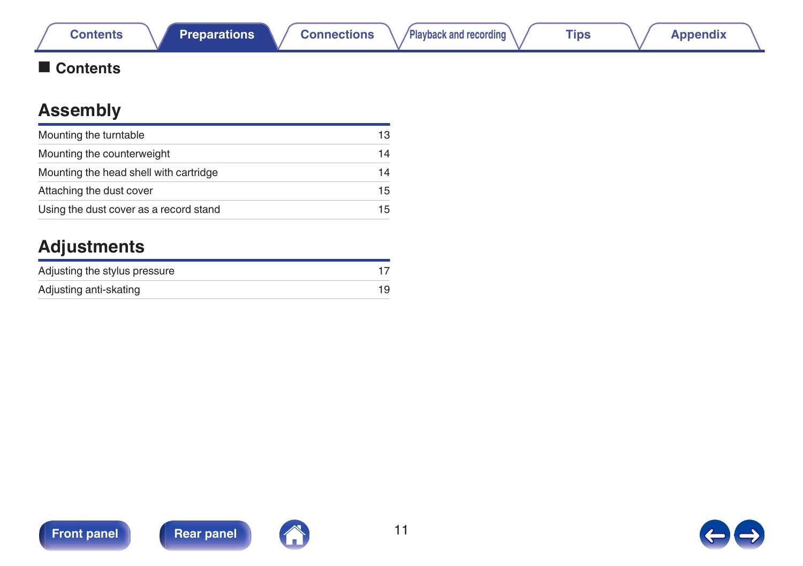## <span id="page-10-0"></span>■ Contents

## **Assembly**

| Mounting the turntable                 | 13 |
|----------------------------------------|----|
| Mounting the counterweight             | 14 |
| Mounting the head shell with cartridge | 14 |
| Attaching the dust cover               | 15 |
| Using the dust cover as a record stand | 15 |

## **Adjustments**

| Adjusting the stylus pressure |    |
|-------------------------------|----|
| Adjusting anti-skating        | 19 |





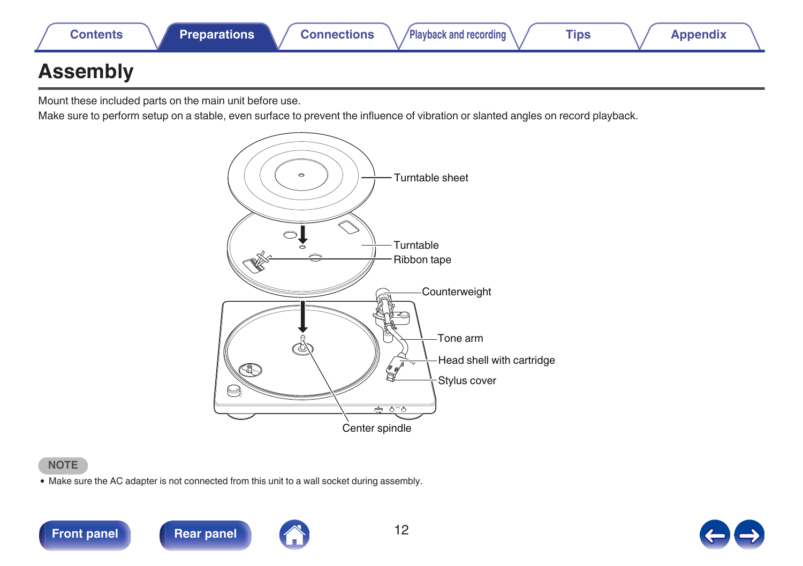<span id="page-11-0"></span>

## **Assembly**

Mount these included parts on the main unit before use.

Make sure to perform setup on a stable, even surface to prevent the influence of vibration or slanted angles on record playback.



#### **NOTE**

• Make sure the AC adapter is not connected from this unit to a wall socket during assembly.



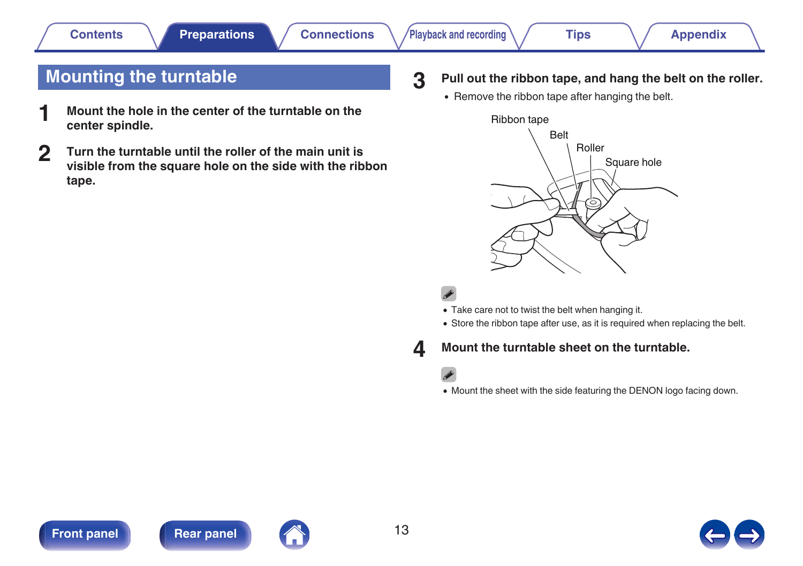## <span id="page-12-0"></span>**Mounting the turntable**

- **1 Mount the hole in the center of the turntable on the center spindle.**
- **2 Turn the turntable until the roller of the main unit is visible from the square hole on the side with the ribbon tape.**

### **3 Pull out the ribbon tape, and hang the belt on the roller.**

• Remove the ribbon tape after hanging the belt.





- Take care not to twist the belt when hanging it.
- Store the ribbon tape after use, as it is required when replacing the belt.

### **4 Mount the turntable sheet on the turntable.**

### $\mathscr{O}$

• Mount the sheet with the side featuring the DENON logo facing down.





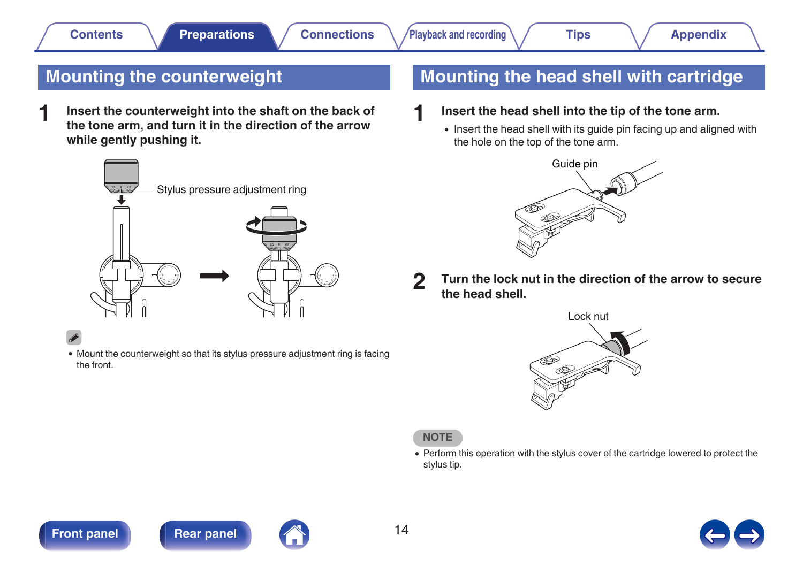## <span id="page-13-0"></span>**Mounting the counterweight**

**1 Insert the counterweight into the shaft on the back of the tone arm, and turn it in the direction of the arrow while gently pushing it.**



• Mount the counterweight so that its stylus pressure adjustment ring is facing the front.

## **Mounting the head shell with cartridge**

- **1 Insert the head shell into the tip of the tone arm.**
	- Insert the head shell with its guide pin facing up and aligned with the hole on the top of the tone arm.



**2 Turn the lock nut in the direction of the arrow to secure the head shell.**



**NOTE**

• Perform this operation with the stylus cover of the cartridge lowered to protect the stylus tip.





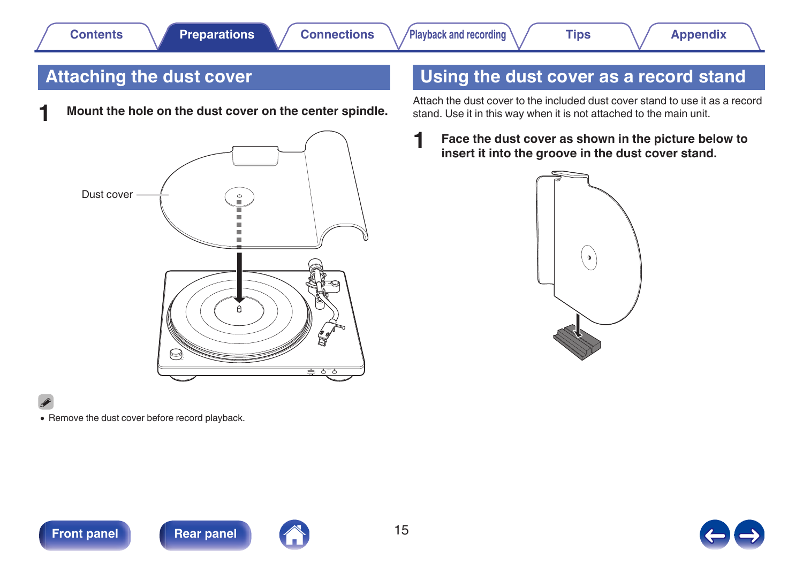## <span id="page-14-0"></span>**Attaching the dust cover**

**1 Mount the hole on the dust cover on the center spindle.**



## **Using the dust cover as a record stand**

Attach the dust cover to the included dust cover stand to use it as a record stand. Use it in this way when it is not attached to the main unit.

**1 Face the dust cover as shown in the picture below to insert it into the groove in the dust cover stand.**



![](_page_14_Picture_13.jpeg)

• Remove the dust cover before record playback.

![](_page_14_Picture_15.jpeg)

![](_page_14_Picture_16.jpeg)

![](_page_14_Picture_18.jpeg)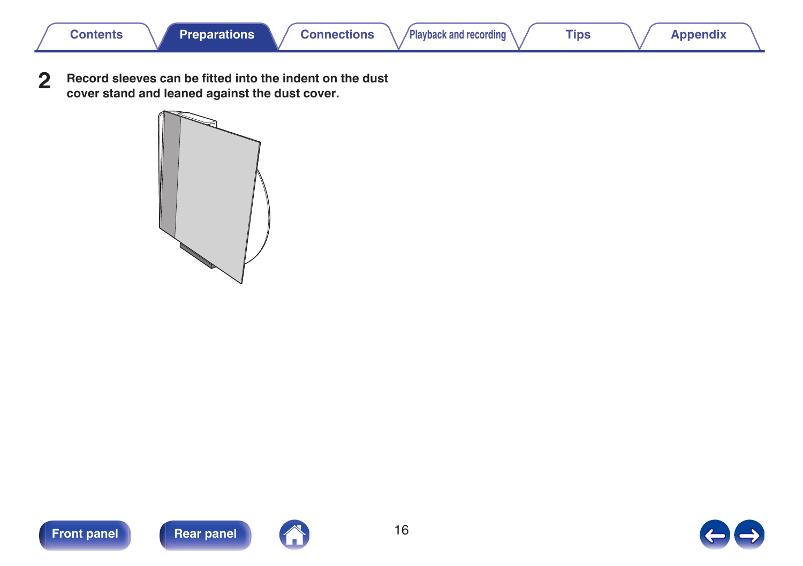**2 Record sleeves can be fitted into the indent on the dust cover stand and leaned against the dust cover.**

![](_page_15_Figure_7.jpeg)

![](_page_15_Picture_8.jpeg)

![](_page_15_Picture_9.jpeg)

![](_page_15_Picture_11.jpeg)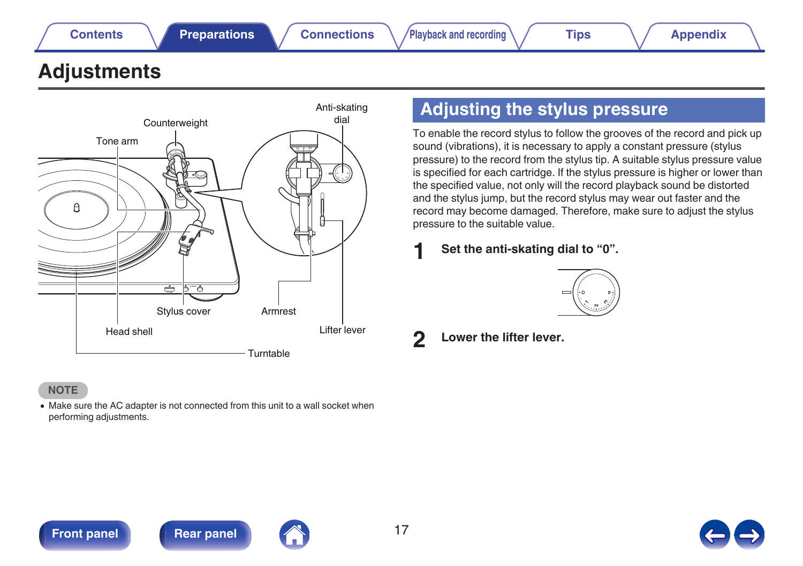## <span id="page-16-0"></span>**Adjustments**

![](_page_16_Figure_7.jpeg)

### **NOTE**

• Make sure the AC adapter is not connected from this unit to a wall socket when performing adjustments.

## **Adjusting the stylus pressure**

To enable the record stylus to follow the grooves of the record and pick up sound (vibrations), it is necessary to apply a constant pressure (stylus pressure) to the record from the stylus tip. A suitable stylus pressure value is specified for each cartridge. If the stylus pressure is higher or lower than the specified value, not only will the record playback sound be distorted and the stylus jump, but the record stylus may wear out faster and the record may become damaged. Therefore, make sure to adjust the stylus pressure to the suitable value.

**1 Set the anti-skating dial to "0".**

![](_page_16_Figure_13.jpeg)

**2 Lower the lifter lever.**

![](_page_16_Picture_15.jpeg)

![](_page_16_Picture_16.jpeg)

![](_page_16_Picture_17.jpeg)

![](_page_16_Picture_18.jpeg)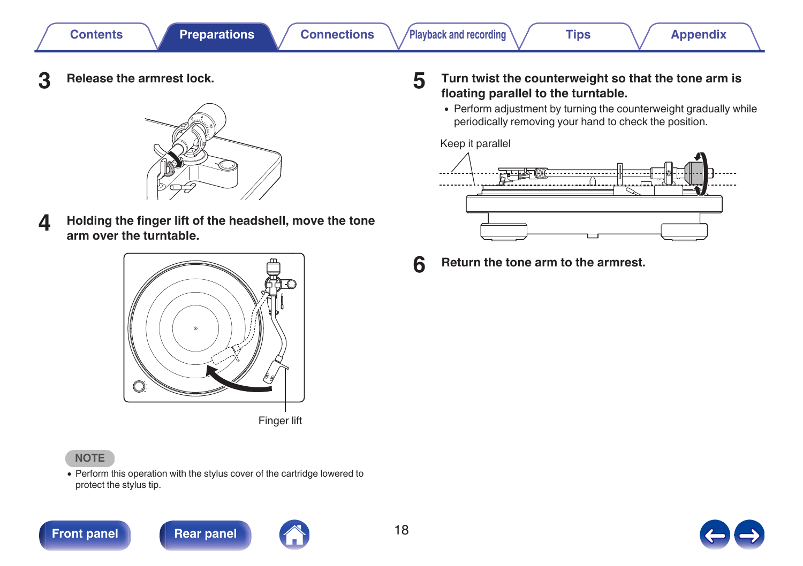**3 Release the armrest lock.**

![](_page_17_Picture_7.jpeg)

**4 Holding the finger lift of the headshell, move the tone arm over the turntable.**

![](_page_17_Picture_9.jpeg)

### **NOTE**

• Perform this operation with the stylus cover of the cartridge lowered to protect the stylus tip.

![](_page_17_Picture_13.jpeg)

![](_page_17_Picture_14.jpeg)

**5 Turn twist the counterweight so that the tone arm is floating parallel to the turntable.**

• Perform adjustment by turning the counterweight gradually while periodically removing your hand to check the position.

#### Keep it parallel

![](_page_17_Figure_18.jpeg)

**6 Return the tone arm to the armrest.**

![](_page_17_Picture_20.jpeg)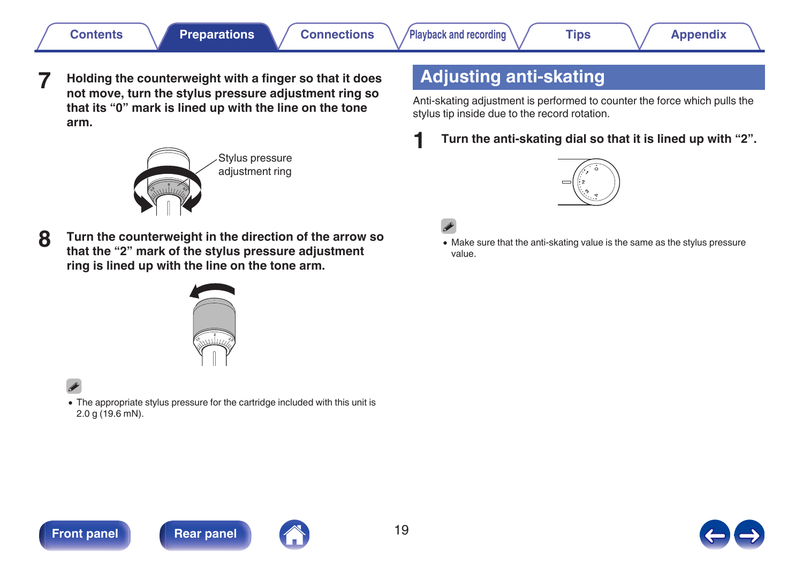<span id="page-18-0"></span>**7 Holding the counterweight with a finger so that it does not move, turn the stylus pressure adjustment ring so that its "0" mark is lined up with the line on the tone arm.**

![](_page_18_Picture_7.jpeg)

**8 Turn the counterweight in the direction of the arrow so that the "2" mark of the stylus pressure adjustment ring is lined up with the line on the tone arm.**

![](_page_18_Picture_9.jpeg)

0 The appropriate stylus pressure for the cartridge included with this unit is 2.0 g (19.6 mN).

## **Adjusting anti-skating**

Anti-skating adjustment is performed to counter the force which pulls the stylus tip inside due to the record rotation.

**1 Turn the anti-skating dial so that it is lined up with "2".**

![](_page_18_Picture_15.jpeg)

![](_page_18_Picture_16.jpeg)

0 Make sure that the anti-skating value is the same as the stylus pressure value.

![](_page_18_Picture_18.jpeg)

![](_page_18_Picture_19.jpeg)

![](_page_18_Picture_20.jpeg)

![](_page_18_Picture_21.jpeg)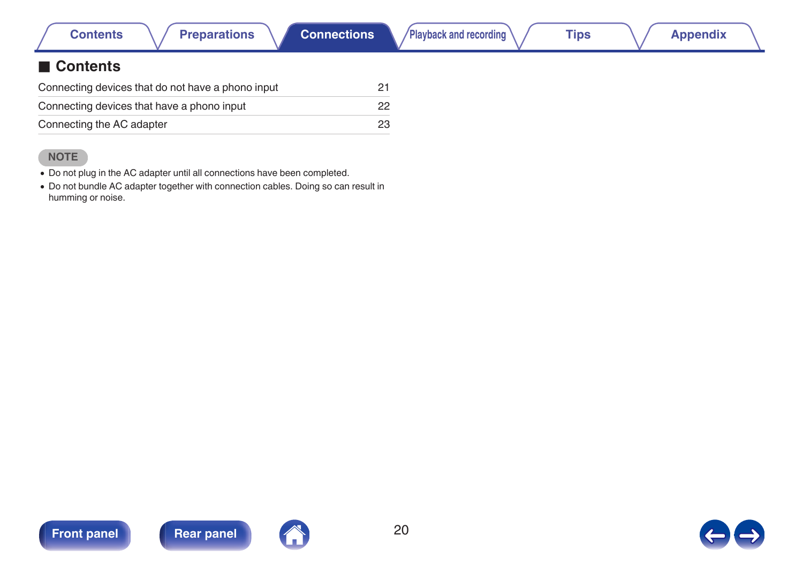|  | Contents |  |  |
|--|----------|--|--|

### <span id="page-19-0"></span>■ Contents

| Connecting devices that do not have a phono input | 21           |
|---------------------------------------------------|--------------|
| Connecting devices that have a phono input        | $22^{\circ}$ |
| Connecting the AC adapter                         | 23           |

### **NOTE**

0 Do not plug in the AC adapter until all connections have been completed.

0 Do not bundle AC adapter together with connection cables. Doing so can result in humming or noise.

![](_page_19_Picture_11.jpeg)

![](_page_19_Picture_13.jpeg)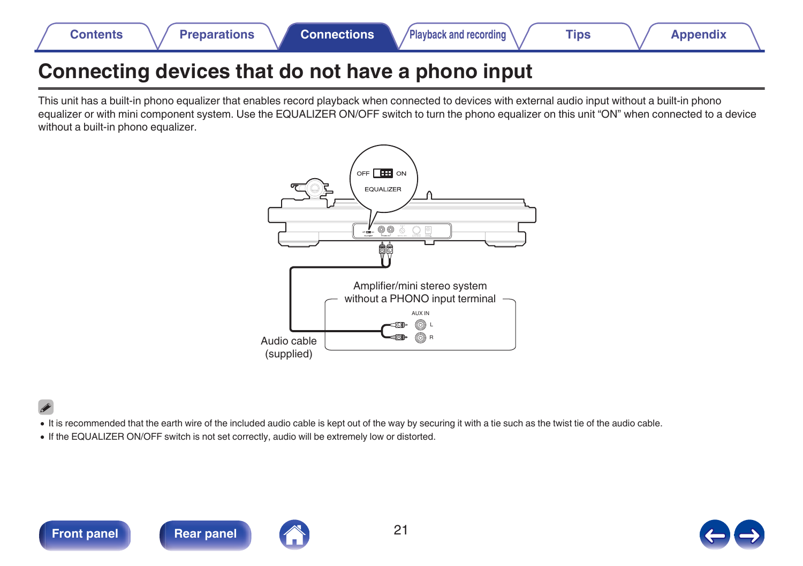## <span id="page-20-0"></span>**Connecting devices that do not have a phono input**

This unit has a built-in phono equalizer that enables record playback when connected to devices with external audio input without a built-in phono equalizer or with mini component system. Use the EQUALIZER ON/OFF switch to turn the phono equalizer on this unit "ON" when connected to a device without a built-in phono equalizer.

![](_page_20_Figure_8.jpeg)

- It is recommended that the earth wire of the included audio cable is kept out of the way by securing it with a tie such as the twist tie of the audio cable.
- 0 If the EQUALIZER ON/OFF switch is not set correctly, audio will be extremely low or distorted.

![](_page_20_Picture_13.jpeg)

![](_page_20_Picture_15.jpeg)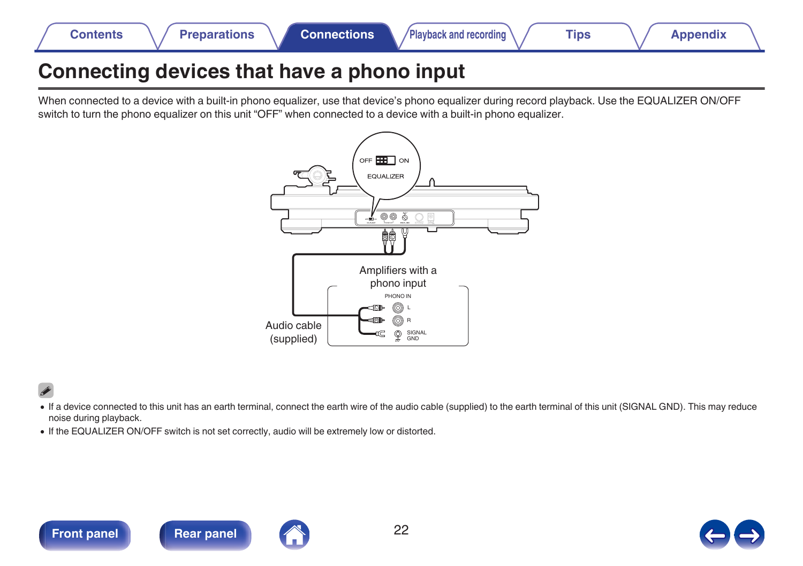<span id="page-21-0"></span>![](_page_21_Picture_0.jpeg)

## **Connecting devices that have a phono input**

When connected to a device with a built-in phono equalizer, use that device's phono equalizer during record playback. Use the EQUALIZER ON/OFF switch to turn the phono equalizer on this unit "OFF" when connected to a device with a built-in phono equalizer.

![](_page_21_Figure_3.jpeg)

- 0 If a device connected to this unit has an earth terminal, connect the earth wire of the audio cable (supplied) to the earth terminal of this unit (SIGNAL GND). This may reduce noise during playback.
- If the EQUALIZER ON/OFF switch is not set correctly, audio will be extremely low or distorted.

![](_page_21_Picture_7.jpeg)

![](_page_21_Picture_8.jpeg)

![](_page_21_Picture_9.jpeg)

![](_page_21_Picture_10.jpeg)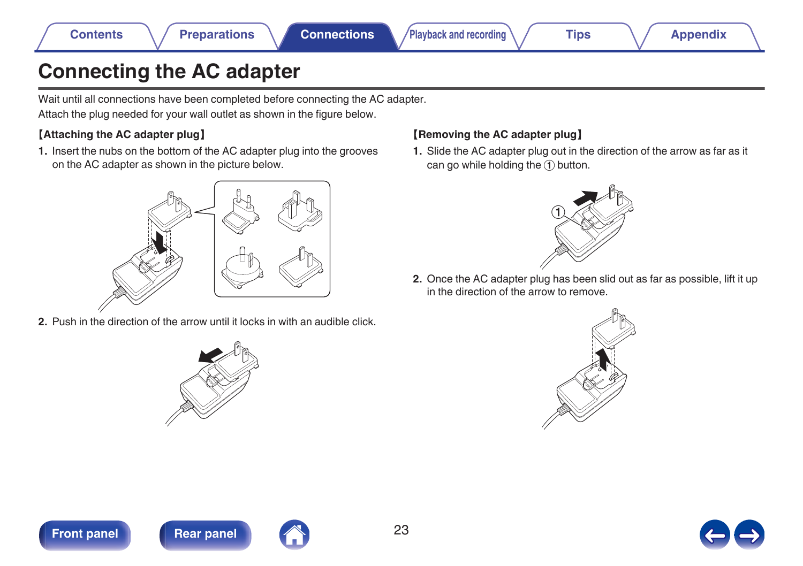## <span id="page-22-0"></span>**Connecting the AC adapter**

Wait until all connections have been completed before connecting the AC adapter. Attach the plug needed for your wall outlet as shown in the figure below.

### 【**Attaching the AC adapter plug**】

**1.** Insert the nubs on the bottom of the AC adapter plug into the grooves on the AC adapter as shown in the picture below.

![](_page_22_Picture_10.jpeg)

**2.** Push in the direction of the arrow until it locks in with an audible click.

![](_page_22_Picture_12.jpeg)

### 【**Removing the AC adapter plug**】

**1.** Slide the AC adapter plug out in the direction of the arrow as far as it can go while holding the  $\overline{1}$  button.

![](_page_22_Picture_15.jpeg)

**2.** Once the AC adapter plug has been slid out as far as possible, lift it up in the direction of the arrow to remove.

![](_page_22_Picture_17.jpeg)

![](_page_22_Picture_18.jpeg)

![](_page_22_Picture_19.jpeg)

![](_page_22_Picture_21.jpeg)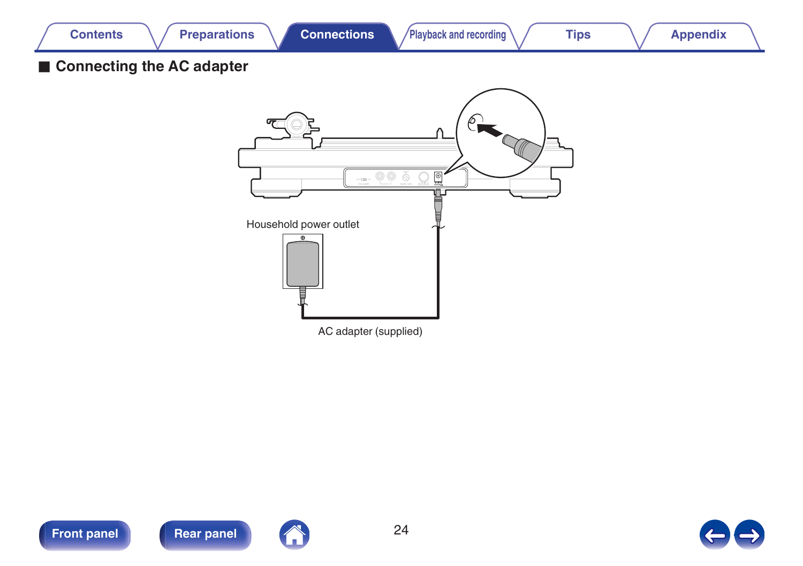<span id="page-23-0"></span>![](_page_23_Picture_0.jpeg)

![](_page_23_Picture_1.jpeg)

![](_page_23_Picture_2.jpeg)

![](_page_23_Picture_4.jpeg)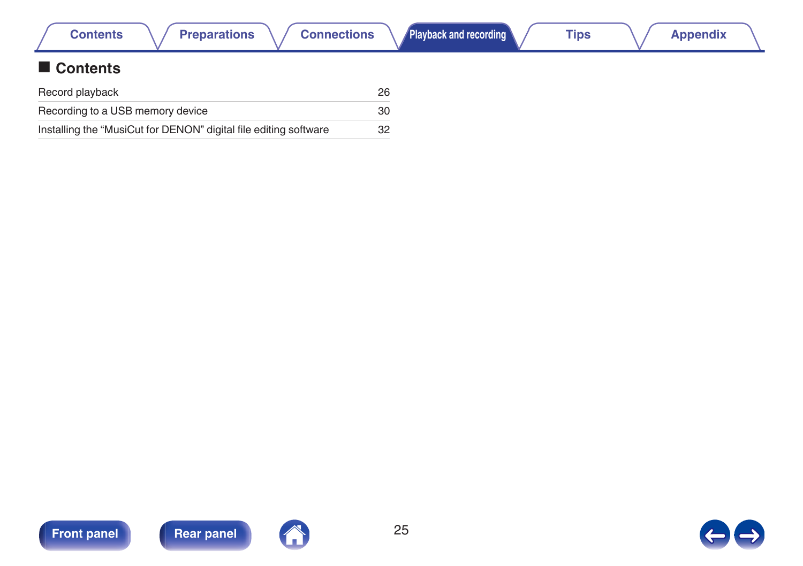<span id="page-24-0"></span>

| <b>Preparations</b><br><b>Connections</b><br><b>Contents</b>     |    | Playback and recording | <b>Tips</b> | <b>Appendix</b> |  |
|------------------------------------------------------------------|----|------------------------|-------------|-----------------|--|
| Contents                                                         |    |                        |             |                 |  |
| Record playback                                                  | 26 |                        |             |                 |  |
| Recording to a USB memory device                                 | 30 |                        |             |                 |  |
| Installing the "MusiCut for DENON" digital file editing software |    |                        |             |                 |  |

![](_page_24_Picture_2.jpeg)

![](_page_24_Picture_4.jpeg)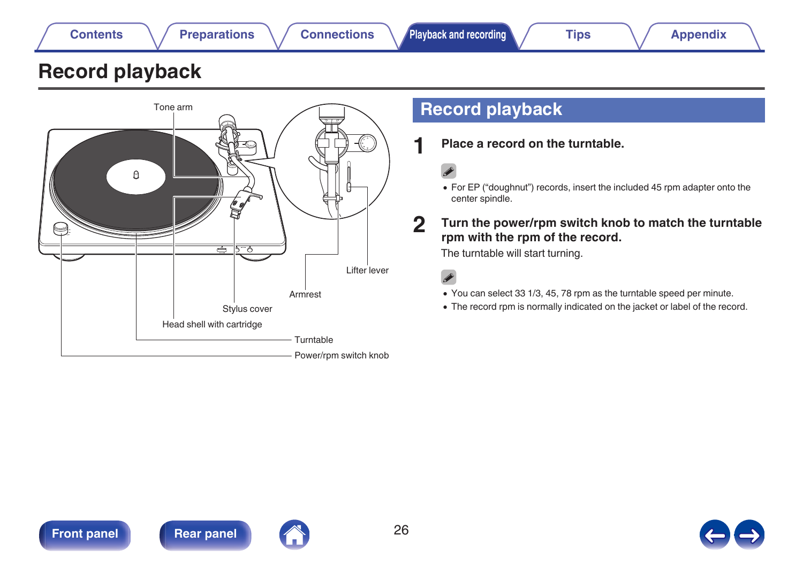## <span id="page-25-0"></span>**Record playback**

![](_page_25_Figure_1.jpeg)

## **Record playback**

**1 Place a record on the turntable.**

0 For EP ("doughnut") records, insert the included 45 rpm adapter onto the center spindle.

### **2 Turn the power/rpm switch knob to match the turntable rpm with the rpm of the record.**

The turntable will start turning.

 $\overline{\mathscr{L}}$ 

- 0 You can select 33 1/3, 45, 78 rpm as the turntable speed per minute.
- The record rpm is normally indicated on the jacket or label of the record.

![](_page_25_Picture_12.jpeg)

![](_page_25_Picture_13.jpeg)

![](_page_25_Picture_14.jpeg)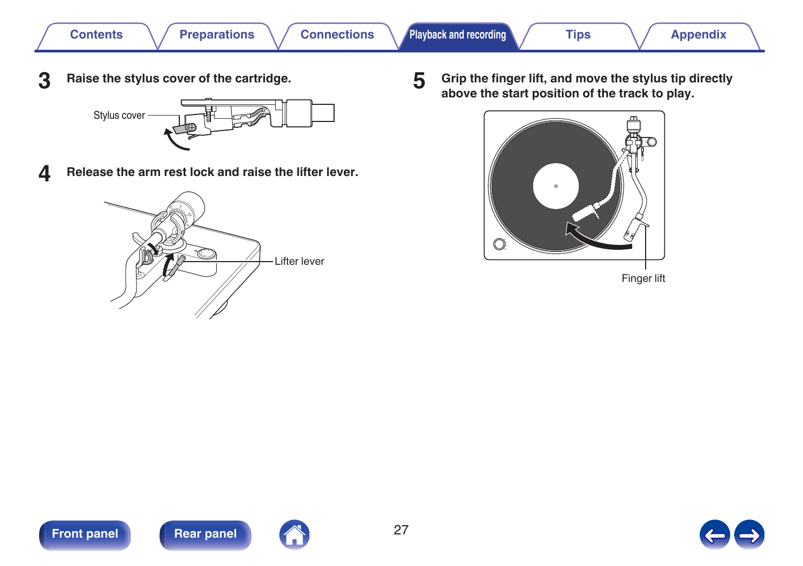![](_page_26_Picture_0.jpeg)

**3 Raise the stylus cover of the cartridge.**

![](_page_26_Figure_5.jpeg)

**4 Release the arm rest lock and raise the lifter lever.**

![](_page_26_Picture_7.jpeg)

**5 Grip the finger lift, and move the stylus tip directly above the start position of the track to play.**

![](_page_26_Picture_9.jpeg)

Finger lift

![](_page_26_Picture_11.jpeg)

![](_page_26_Picture_13.jpeg)

![](_page_26_Picture_14.jpeg)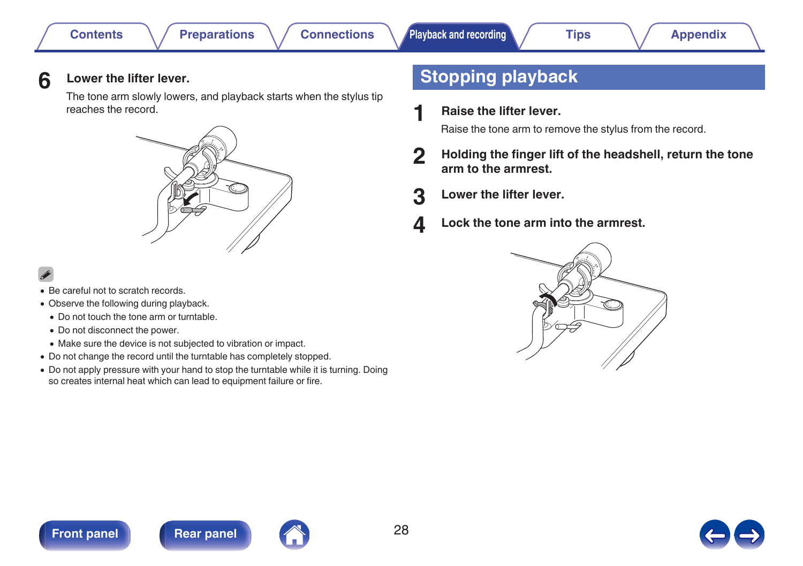![](_page_27_Picture_1.jpeg)

<span id="page-27-0"></span>The tone arm slowly lowers, and playback starts when the stylus tip reaches the record.

![](_page_27_Picture_8.jpeg)

- Be careful not to scratch records.
- Observe the following during playback.
	- 0 Do not touch the tone arm or turntable.
	- Do not disconnect the power.
	- 0 Make sure the device is not subjected to vibration or impact.
- Do not change the record until the turntable has completely stopped.
- Do not apply pressure with your hand to stop the turntable while it is turning. Doing so creates internal heat which can lead to equipment failure or fire.

## **Stopping playback**

**1 Raise the lifter lever.**

Raise the tone arm to remove the stylus from the record.

- **2 Holding the finger lift of the headshell, return the tone arm to the armrest.**
- **3 Lower the lifter lever.**
- **4 Lock the tone arm into the armrest.**

![](_page_27_Picture_23.jpeg)

![](_page_27_Picture_24.jpeg)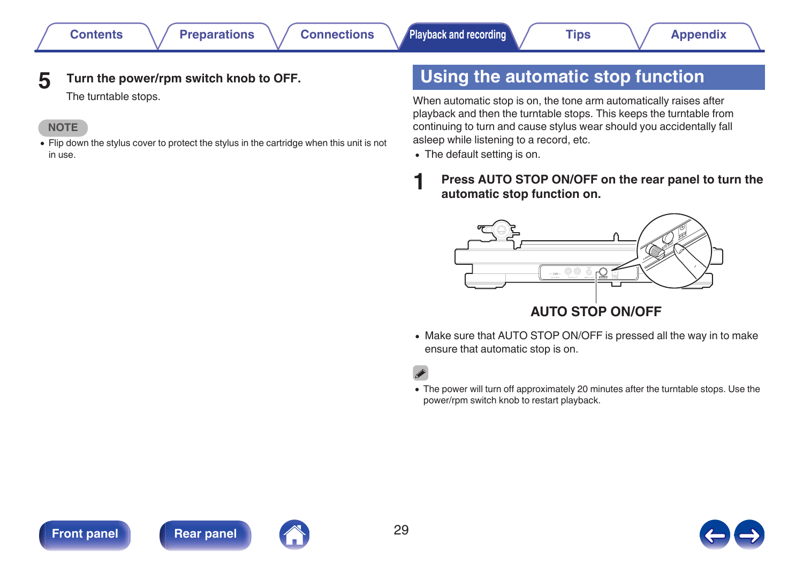### <span id="page-28-0"></span>**5 Turn the power/rpm switch knob to OFF.**

The turntable stops.

#### **NOTE**

• Flip down the stylus cover to protect the stylus in the cartridge when this unit is not in use.

## **Using the automatic stop function**

When automatic stop is on, the tone arm automatically raises after playback and then the turntable stops. This keeps the turntable from continuing to turn and cause stylus wear should you accidentally fall asleep while listening to a record, etc.

- The default setting is on.
- **1 Press AUTO STOP ON/OFF on the rear panel to turn the automatic stop function on.**

![](_page_28_Figure_15.jpeg)

• Make sure that AUTO STOP ON/OFF is pressed all the way in to make ensure that automatic stop is on.

0 The power will turn off approximately 20 minutes after the turntable stops. Use the power/rpm switch knob to restart playback.

![](_page_28_Picture_19.jpeg)

![](_page_28_Picture_20.jpeg)

![](_page_28_Picture_21.jpeg)

![](_page_28_Picture_22.jpeg)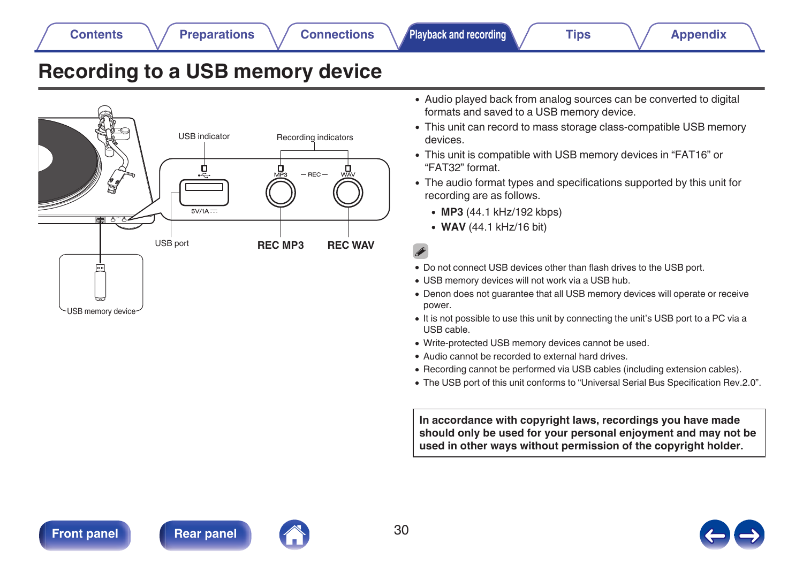![](_page_29_Picture_1.jpeg)

![](_page_29_Picture_2.jpeg)

![](_page_29_Picture_5.jpeg)

## <span id="page-29-0"></span>**Recording to a USB memory device**

![](_page_29_Figure_13.jpeg)

- Audio played back from analog sources can be converted to digital formats and saved to a USB memory device.
- This unit can record to mass storage class-compatible USB memory devices.
- 0 This unit is compatible with USB memory devices in "FAT16" or "FAT32" format.
- 0 The audio format types and specifications supported by this unit for recording are as follows.
	- 0 **MP3** (44.1 kHz/192 kbps)
	- 0 **WAV** (44.1 kHz/16 bit)

- 0 Do not connect USB devices other than flash drives to the USB port.
- USB memory devices will not work via a USB hub.
- Denon does not quarantee that all USB memory devices will operate or receive power.
- It is not possible to use this unit by connecting the unit's USB port to a PC via a USB cable.
- Write-protected USB memory devices cannot be used.
- Audio cannot be recorded to external hard drives.
- 0 Recording cannot be performed via USB cables (including extension cables).
- 0 The USB port of this unit conforms to "Universal Serial Bus Specification Rev.2.0".

**In accordance with copyright laws, recordings you have made should only be used for your personal enjoyment and may not be used in other ways without permission of the copyright holder.**

![](_page_29_Picture_30.jpeg)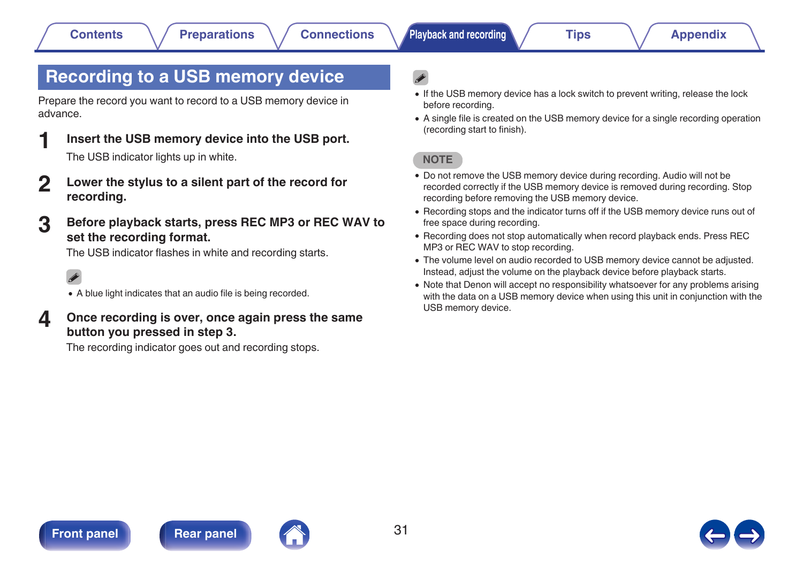## <span id="page-30-0"></span>**Recording to a USB memory device**

Prepare the record you want to record to a USB memory device in advance.

- **1 Insert the USB memory device into the USB port.** The USB indicator lights up in white.
- **2 Lower the stylus to a silent part of the record for recording.**
- **3 Before playback starts, press REC MP3 or REC WAV to set the recording format.**

The USB indicator flashes in white and recording starts.

### $\overline{a}$

- A blue light indicates that an audio file is being recorded.
- **4 Once recording is over, once again press the same button you pressed in step 3.**

The recording indicator goes out and recording stops.

- If the USB memory device has a lock switch to prevent writing, release the lock before recording.
- 0 A single file is created on the USB memory device for a single recording operation (recording start to finish).

#### **NOTE**

- 0 Do not remove the USB memory device during recording. Audio will not be recorded correctly if the USB memory device is removed during recording. Stop recording before removing the USB memory device.
- 0 Recording stops and the indicator turns off if the USB memory device runs out of free space during recording.
- 0 Recording does not stop automatically when record playback ends. Press REC MP3 or REC WAV to stop recording.
- The volume level on audio recorded to USB memory device cannot be adjusted. Instead, adjust the volume on the playback device before playback starts.
- Note that Denon will accept no responsibility whatsoever for any problems arising with the data on a USB memory device when using this unit in conjunction with the USB memory device.

![](_page_30_Picture_25.jpeg)

![](_page_30_Picture_27.jpeg)

![](_page_30_Picture_28.jpeg)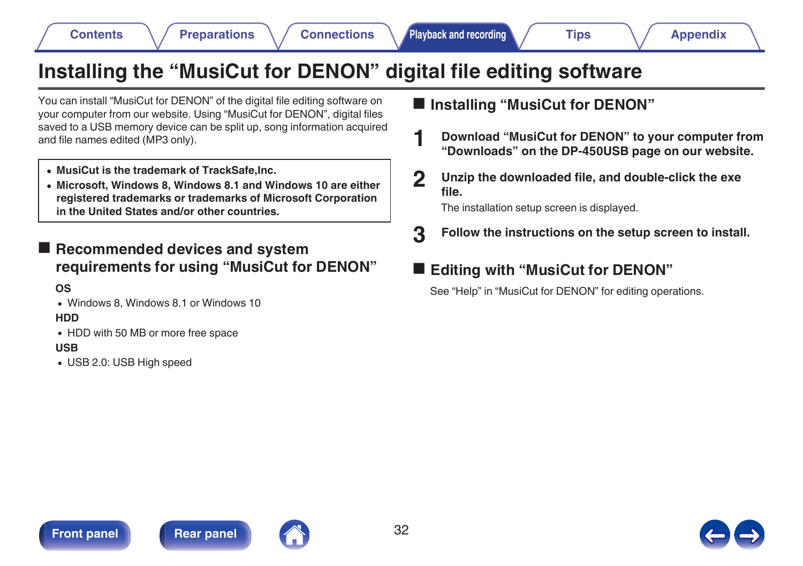![](_page_31_Picture_1.jpeg)

![](_page_31_Picture_2.jpeg)

## <span id="page-31-0"></span>**Installing the "MusiCut for DENON" digital file editing software**

You can install "MusiCut for DENON" of the digital file editing software on your computer from our website. Using "MusiCut for DENON", digital files saved to a USB memory device can be split up, song information acquired and file names edited (MP3 only).

- 0 **MusiCut is the trademark of TrackSafe,Inc.**
- 0 **Microsoft, Windows 8, Windows 8.1 and Windows 10 are either registered trademarks or trademarks of Microsoft Corporation in the United States and/or other countries.**

**■ Recommended devices and system requirements for using "MusiCut for DENON"**

**OS**

• Windows 8, Windows 8.1 or Windows 10

**HDD**

• HDD with 50 MB or more free space

#### **USB**

• USB 2.0: USB High speed

### ■ Installing "MusiCut for DENON"

- **1 Download "MusiCut for DENON" to your computer from "Downloads" on the DP-450USB page on our website.**
- **2 Unzip the downloaded file, and double-click the exe file.**

The installation setup screen is displayed.

**3 Follow the instructions on the setup screen to install.**

### **Editing with "MusiCut for DENON"**

See "Help" in "MusiCut for DENON" for editing operations.

![](_page_31_Picture_25.jpeg)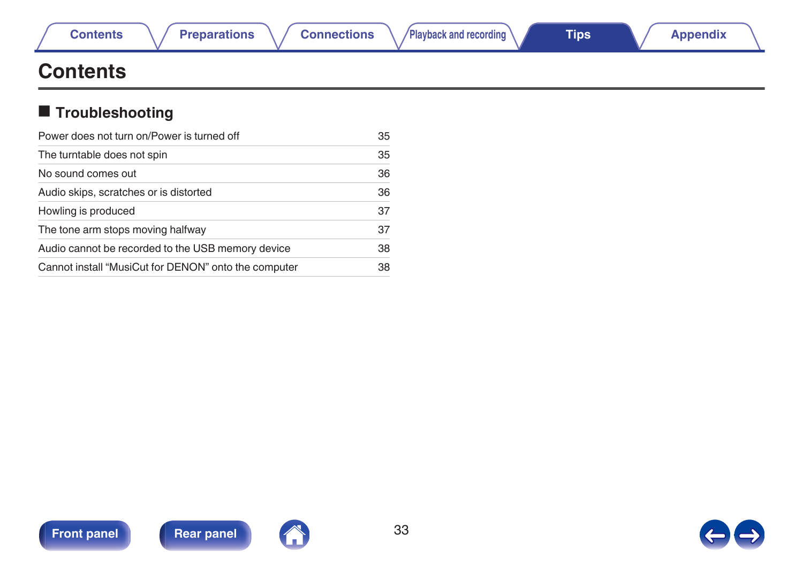|  |  |  | ontents |
|--|--|--|---------|

## <span id="page-32-0"></span>**Contents**

## $\blacksquare$  Troubleshooting

| Power does not turn on/Power is turned off           |    |
|------------------------------------------------------|----|
| The turntable does not spin                          | 35 |
| No sound comes out                                   | 36 |
| Audio skips, scratches or is distorted               | 36 |
| Howling is produced                                  | 37 |
| The tone arm stops moving halfway                    | 37 |
| Audio cannot be recorded to the USB memory device    | 38 |
| Cannot install "MusiCut for DENON" onto the computer | 38 |

![](_page_32_Picture_9.jpeg)

![](_page_32_Picture_11.jpeg)

![](_page_32_Picture_13.jpeg)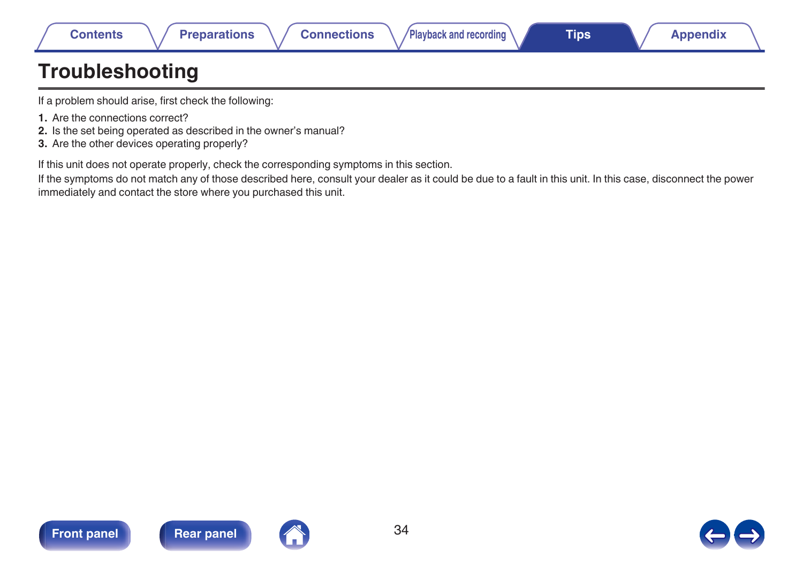## <span id="page-33-0"></span>**Troubleshooting**

If a problem should arise, first check the following:

- **1.** Are the connections correct?
- **2.** Is the set being operated as described in the owner's manual?
- **3.** Are the other devices operating properly?

If this unit does not operate properly, check the corresponding symptoms in this section.

If the symptoms do not match any of those described here, consult your dealer as it could be due to a fault in this unit. In this case, disconnect the power immediately and contact the store where you purchased this unit.

![](_page_33_Picture_13.jpeg)

![](_page_33_Picture_15.jpeg)

![](_page_33_Picture_17.jpeg)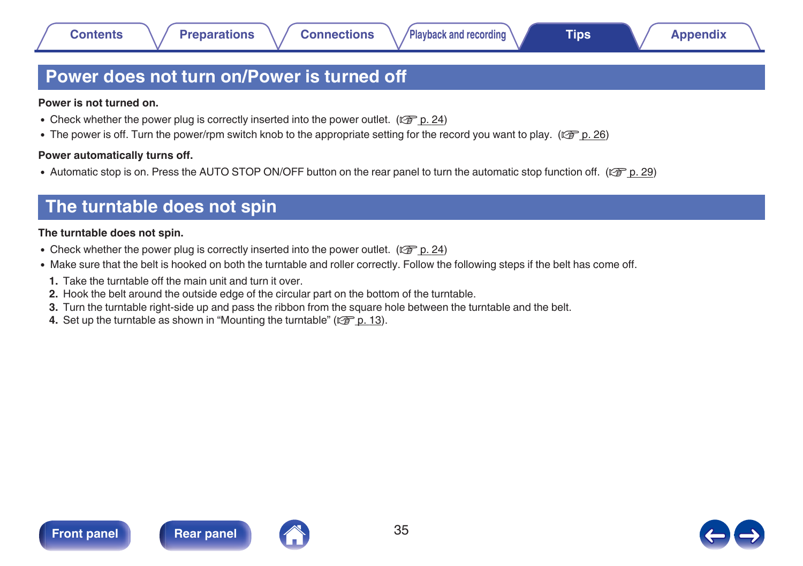## <span id="page-34-0"></span>**Power does not turn on/Power is turned off**

#### **Power is not turned on.**

- Check whether the power plug is correctly inserted into the power outlet. ( $\mathbb{Q}_F$  [p. 24\)](#page-23-0)
- The power is off. Turn the power/rpm switch knob to the appropriate setting for the record you want to play. ( $\mathbb{Z}$ ) ( $\mathbb{Z}$ ) 26)

#### **Power automatically turns off.**

• Automatic stop is on. Press the AUTO STOP ON/OFF button on the rear panel to turn the automatic stop function off. ( $\mathbb{Z}$  [p. 29\)](#page-28-0)

## **The turntable does not spin**

#### **The turntable does not spin.**

- Check whether the power plug is correctly inserted into the power outlet. ( $\mathbb{Z}$  [p. 24\)](#page-23-0)
- Make sure that the belt is hooked on both the turntable and roller correctly. Follow the following steps if the belt has come off.
- **1.** Take the turntable off the main unit and turn it over.
- **2.** Hook the belt around the outside edge of the circular part on the bottom of the turntable.
- **3.** Turn the turntable right-side up and pass the ribbon from the square hole between the turntable and the belt.
- **4.** Set up the turntable as shown in ["Mounting the turntable" \(](#page-12-0) $\mathbb{Q}$  p. 13).

![](_page_34_Picture_21.jpeg)

![](_page_34_Picture_23.jpeg)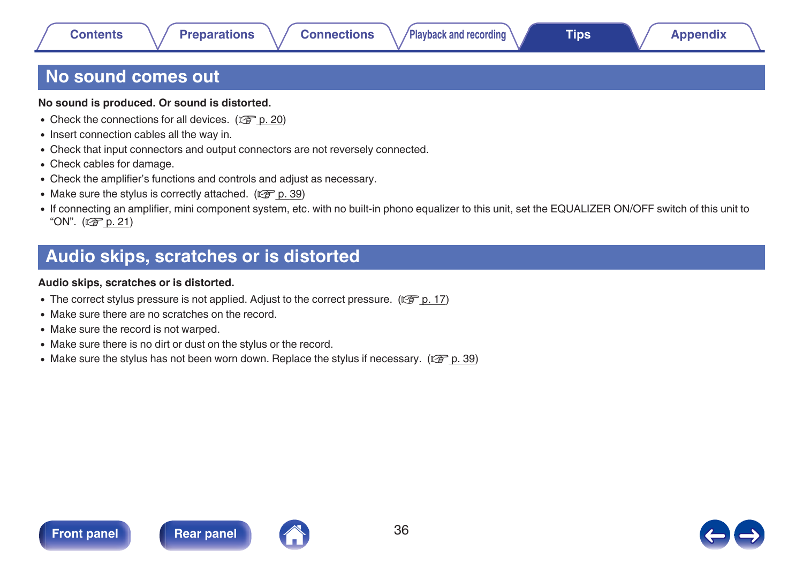## <span id="page-35-0"></span>**No sound comes out**

#### **No sound is produced. Or sound is distorted.**

- Check the connections for all devices.  $(\sqrt[p]{p})$  [p. 20\)](#page-19-0)
- Insert connection cables all the way in.
- Check that input connectors and output connectors are not reversely connected.
- Check cables for damage.
- Check the amplifier's functions and controls and adjust as necessary.
- Make sure the stylus is correctly attached. ( $\mathbb{C}$  [p. 39\)](#page-38-0)
- 0 If connecting an amplifier, mini component system, etc. with no built-in phono equalizer to this unit, set the EQUALIZER ON/OFF switch of this unit to "ON".  $(CF)$  [p. 21\)](#page-20-0)

## **Audio skips, scratches or is distorted**

#### **Audio skips, scratches or is distorted.**

- The correct stylus pressure is not applied. Adjust to the correct pressure. ( $\mathbb{Q}^{\sim}$  [p. 17\)](#page-16-0)
- Make sure there are no scratches on the record.
- Make sure the record is not warped.
- Make sure there is no dirt or dust on the stylus or the record.
- Make sure the stylus has not been worn down. Replace the stylus if necessary. ( $\mathbb{Z}$  ( $\mathbb{Z}$  [p. 39\)](#page-38-0)

![](_page_35_Picture_23.jpeg)

![](_page_35_Picture_25.jpeg)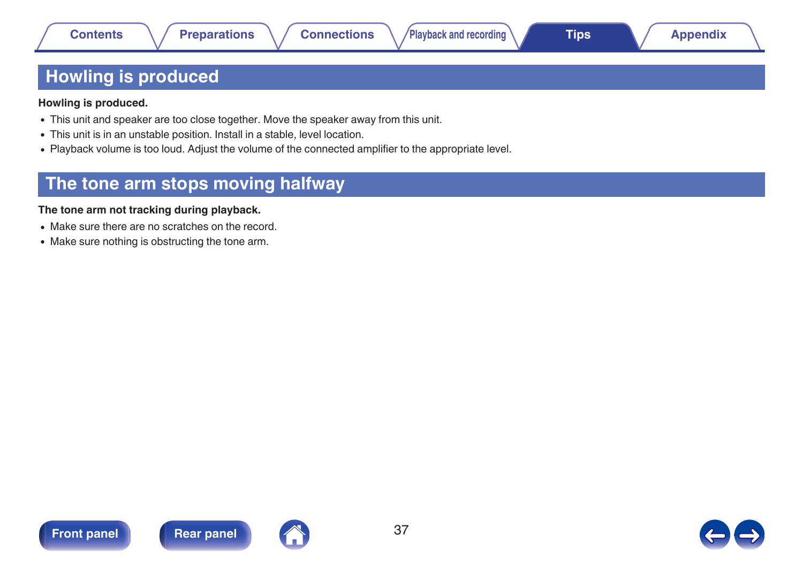## <span id="page-36-0"></span>**Howling is produced**

**Howling is produced.**

- This unit and speaker are too close together. Move the speaker away from this unit.
- 0 This unit is in an unstable position. Install in a stable, level location.
- Playback volume is too loud. Adjust the volume of the connected amplifier to the appropriate level.

## **The tone arm stops moving halfway**

#### **The tone arm not tracking during playback.**

- Make sure there are no scratches on the record.
- Make sure nothing is obstructing the tone arm.

![](_page_36_Picture_16.jpeg)

![](_page_36_Picture_18.jpeg)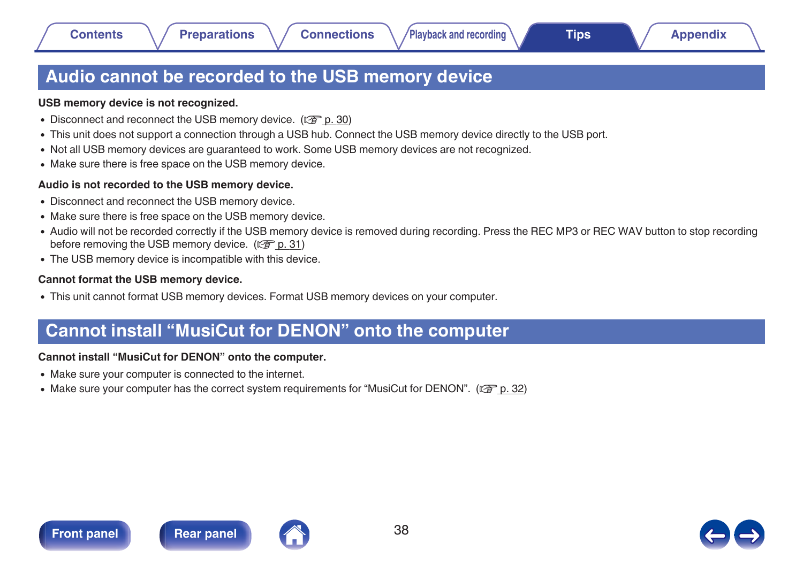## <span id="page-37-0"></span>**Audio cannot be recorded to the USB memory device**

#### **USB memory device is not recognized.**

- Disconnect and reconnect the USB memory device. ( $\mathbb{Q}$  [p. 30\)](#page-29-0)
- This unit does not support a connection through a USB hub. Connect the USB memory device directly to the USB port.
- Not all USB memory devices are guaranteed to work. Some USB memory devices are not recognized.
- Make sure there is free space on the USB memory device.

#### **Audio is not recorded to the USB memory device.**

- Disconnect and reconnect the USB memory device.
- Make sure there is free space on the USB memory device.
- Audio will not be recorded correctly if the USB memory device is removed during recording. Press the REC MP3 or REC WAV button to stop recording before removing the USB memory device. ( $\mathbb{C}$  [p. 31\)](#page-30-0)
- The USB memory device is incompatible with this device.

#### **Cannot format the USB memory device.**

• This unit cannot format USB memory devices. Format USB memory devices on your computer.

## **Cannot install "MusiCut for DENON" onto the computer**

### **Cannot install "MusiCut for DENON" onto the computer.**

- 0 Make sure your computer is connected to the internet.
- Make sure your computer has the correct system requirements for "MusiCut for DENON". ( $\mathbb{Z}$  ( $\mathbb{Z}$  [p. 32\)](#page-31-0)

![](_page_37_Picture_24.jpeg)

![](_page_37_Picture_25.jpeg)

![](_page_37_Picture_26.jpeg)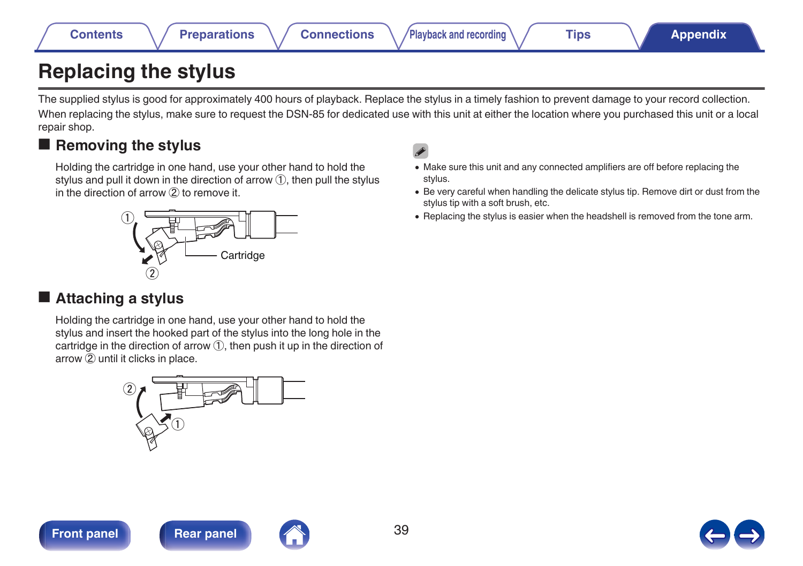## <span id="page-38-0"></span>**Replacing the stylus**

The supplied stylus is good for approximately 400 hours of playback. Replace the stylus in a timely fashion to prevent damage to your record collection. When replacing the stylus, make sure to request the DSN-85 for dedicated use with this unit at either the location where you purchased this unit or a local repair shop.

## **Removing the stylus**

Holding the cartridge in one hand, use your other hand to hold the stylus and pull it down in the direction of arrow ①, then pull the stylus in the direction of arrow ② to remove it.

## $^{\textcircled{\scriptsize{1}}}$  $^\mathrm{\odot}$ **Cartridge**

## o **Attaching a stylus**

Holding the cartridge in one hand, use your other hand to hold the stylus and insert the hooked part of the stylus into the long hole in the cartridge in the direction of arrow ①, then push it up in the direction of arrow ② until it clicks in place.

![](_page_38_Figure_13.jpeg)

![](_page_38_Picture_15.jpeg)

![](_page_38_Picture_17.jpeg)

- 0 Make sure this unit and any connected amplifiers are off before replacing the stylus.
- Be very careful when handling the delicate stylus tip. Remove dirt or dust from the stylus tip with a soft brush, etc.
- 0 Replacing the stylus is easier when the headshell is removed from the tone arm.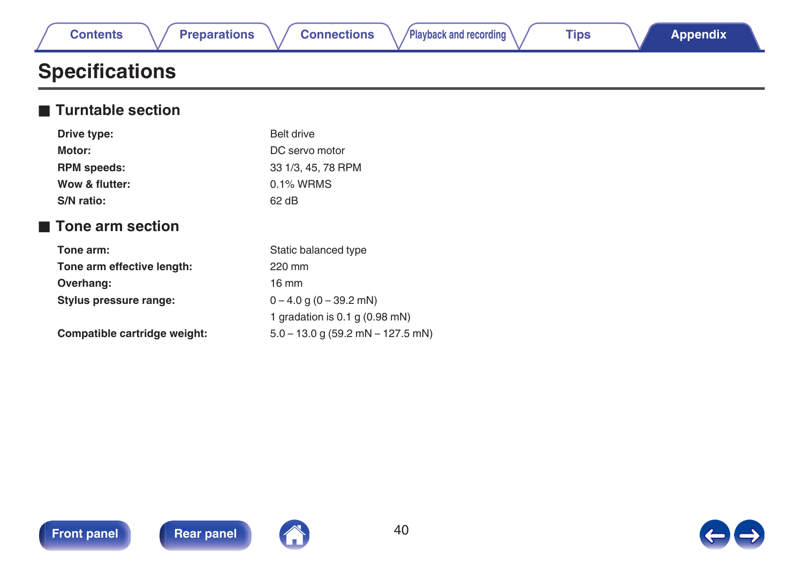<span id="page-39-0"></span>

|  | <b>Contents</b> |  |
|--|-----------------|--|

## **Specifications**

### **Turntable section**

| Drive type:                     | Belt drive                            |
|---------------------------------|---------------------------------------|
| Motor:                          | DC servo motor                        |
| <b>RPM</b> speeds:              | 33 1/3, 45, 78 RPM                    |
| Wow & flutter:                  | 0.1% WRMS                             |
| S/N ratio:                      | $62$ dB                               |
| $\blacksquare$ Tone arm section |                                       |
| Tone arm:                       | Static balanced type                  |
| Tone arm effective length:      | 220 mm                                |
| Overhang:                       | $16 \text{ mm}$                       |
| Stylus pressure range:          | $0 - 4.0$ g (0 – 39.2 mN)             |
|                                 | 1 gradation is $0.1$ g $(0.98$ mN)    |
| Compatible cartridge weight:    | $5.0 - 13.0$ g (59.2 mN $- 127.5$ mN) |

![](_page_39_Picture_10.jpeg)

![](_page_39_Picture_12.jpeg)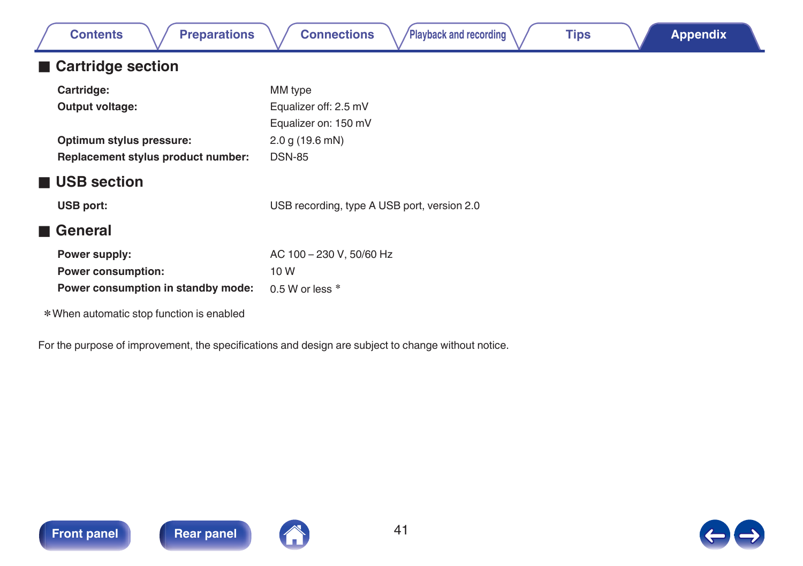| <b>Preparations</b><br><b>Contents</b>    | <b>Connections</b><br>Playback and recording<br><b>Tips</b><br><b>Appendix</b>                      |
|-------------------------------------------|-----------------------------------------------------------------------------------------------------|
| ■ Cartridge section                       |                                                                                                     |
| Cartridge:                                | MM type                                                                                             |
| Output voltage:                           | Equalizer off: 2.5 mV                                                                               |
|                                           | Equalizer on: 150 mV                                                                                |
| Optimum stylus pressure:                  | 2.0 g(19.6 mN)                                                                                      |
| Replacement stylus product number:        | <b>DSN-85</b>                                                                                       |
| ■ USB section                             |                                                                                                     |
| <b>USB port:</b>                          | USB recording, type A USB port, version 2.0                                                         |
| ■ General                                 |                                                                                                     |
| Power supply:                             | AC 100 - 230 V, 50/60 Hz                                                                            |
| <b>Power consumption:</b>                 | 10W                                                                                                 |
| Power consumption in standby mode:        | 0.5 W or less $*$                                                                                   |
| * When automatic stop function is enabled |                                                                                                     |
|                                           | For the purpose of improvement, the specifications and design are subject to change without notice. |

![](_page_40_Picture_2.jpeg)

![](_page_40_Picture_4.jpeg)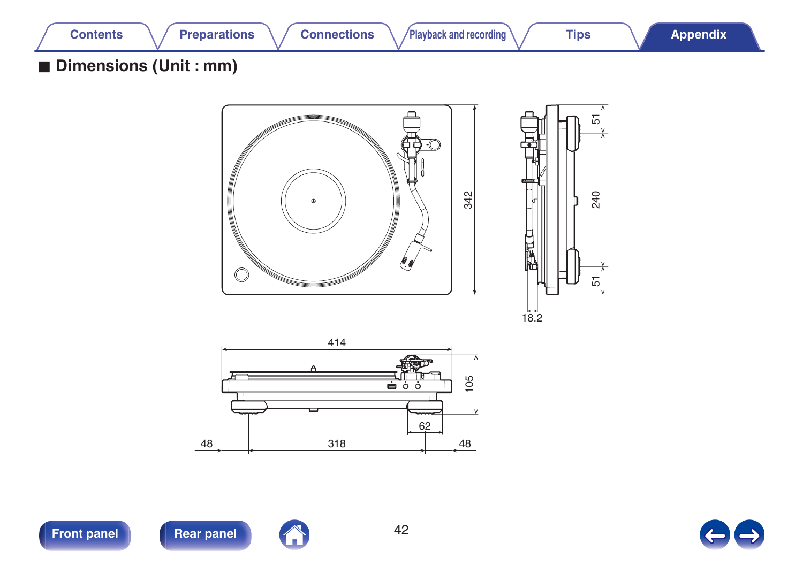![](_page_41_Picture_0.jpeg)

## ■ Dimensions (Unit : mm)

![](_page_41_Figure_7.jpeg)

![](_page_41_Figure_8.jpeg)

![](_page_41_Figure_9.jpeg)

![](_page_41_Picture_10.jpeg)

![](_page_41_Picture_13.jpeg)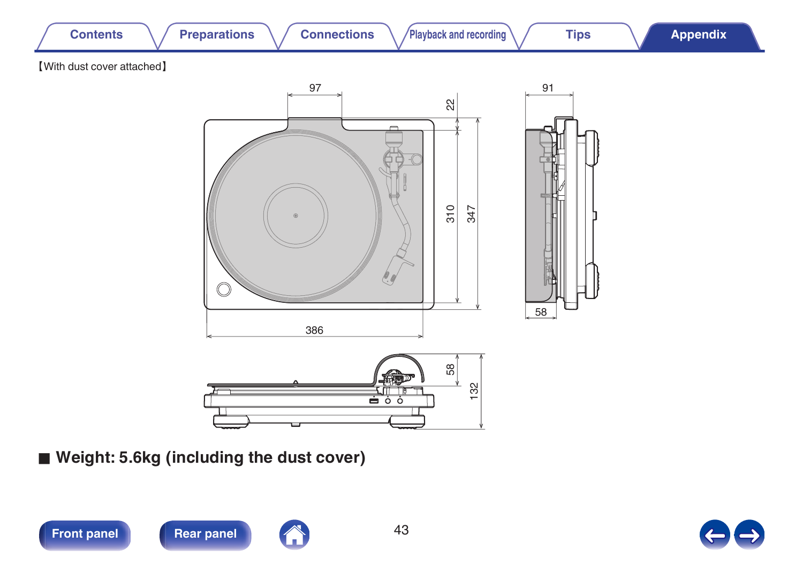![](_page_42_Figure_0.jpeg)

■ Weight: 5.6kg (including the dust cover)

![](_page_42_Picture_2.jpeg)